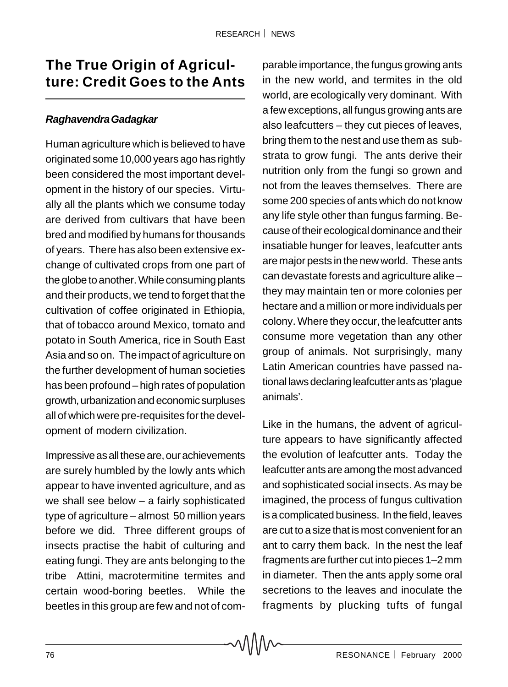## **The True Origin of Agriculture: Credit Goes to the Ants**

## *Raghavendra Gadagkar*

Human agriculture which is believed to have originated some 10,000 years ago has rightly been considered the most important development in the history of our species. Virtually all the plants which we consume today are derived from cultivars that have been bred and modified by humans for thousands of years. There has also been extensive exchange of cultivated crops from one part of the globe to another. While consuming plants and their products, we tend to forget that the cultivation of coffee originated in Ethiopia, that of tobacco around Mexico, tomato and potato in South America, rice in South East Asia and so on. The impact of agriculture on the further development of human societies has been profound – high rates of population growth, urbanization and economic surpluses all of which were pre-requisites for the development of modern civilization.

Impressive as all these are, our achievements are surely humbled by the lowly ants which appear to have invented agriculture, and as we shall see below – a fairly sophisticated type of agriculture – almost 50 million years before we did. Three different groups of insects practise the habit of culturing and eating fungi. They are ants belonging to the tribe Attini, macrotermitine termites and certain wood-boring beetles. While the beetles in this group are few and not of comparable importance, the fungus growing ants in the new world, and termites in the old world, are ecologically very dominant. With a few exceptions, all fungus growing ants are also leafcutters – they cut pieces of leaves, bring them to the nest and use them as substrata to grow fungi. The ants derive their nutrition only from the fungi so grown and not from the leaves themselves. There are some 200 species of ants which do not know any life style other than fungus farming. Because of their ecological dominance and their insatiable hunger for leaves, leafcutter ants are major pests in the new world. These ants can devastate forests and agriculture alike – they may maintain ten or more colonies per hectare and a million or more individuals per colony. Where they occur, the leafcutter ants consume more vegetation than any other group of animals. Not surprisingly, many Latin American countries have passed national laws declaring leafcutter ants as 'plague animals'.

Like in the humans, the advent of agriculture appears to have significantly affected the evolution of leafcutter ants. Today the leafcutter ants are among the most advanced and sophisticated social insects. As may be imagined, the process of fungus cultivation is a complicated business. In the field, leaves are cut to a size that is most convenient for an ant to carry them back. In the nest the leaf fragments are further cut into pieces 1–2 mm in diameter. Then the ants apply some oral secretions to the leaves and inoculate the fragments by plucking tufts of fungal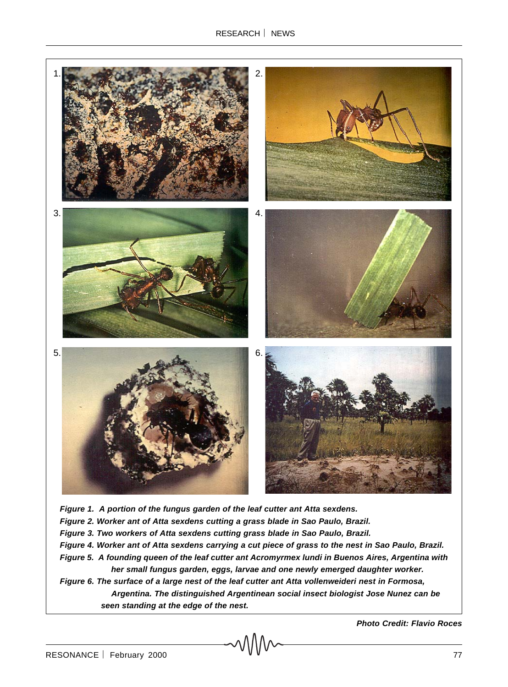

*Photo Credit: Flavio Roces*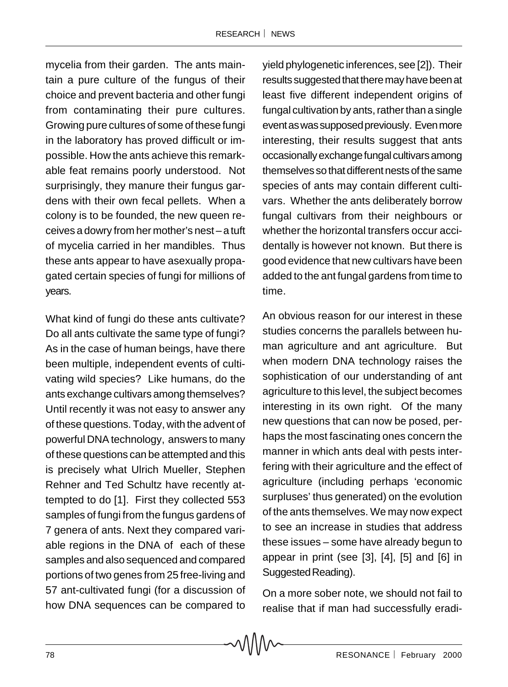mycelia from their garden. The ants maintain a pure culture of the fungus of their choice and prevent bacteria and other fungi from contaminating their pure cultures. Growing pure cultures of some of these fungi in the laboratory has proved difficult or impossible. How the ants achieve this remarkable feat remains poorly understood. Not surprisingly, they manure their fungus gardens with their own fecal pellets. When a colony is to be founded, the new queen receives a dowry from her mother's nest – a tuft of mycelia carried in her mandibles. Thus these ants appear to have asexually propagated certain species of fungi for millions of years.

What kind of fungi do these ants cultivate? Do all ants cultivate the same type of fungi? As in the case of human beings, have there been multiple, independent events of cultivating wild species? Like humans, do the ants exchange cultivars among themselves? Until recently it was not easy to answer any of these questions. Today, with the advent of powerful DNA technology, answers to many of these questions can be attempted and this is precisely what Ulrich Mueller, Stephen Rehner and Ted Schultz have recently attempted to do [1]. First they collected 553 samples of fungi from the fungus gardens of 7 genera of ants. Next they compared variable regions in the DNA of each of these samples and also sequenced and compared portions of two genes from 25 free-living and 57 ant-cultivated fungi (for a discussion of how DNA sequences can be compared to

yield phylogenetic inferences, see [2]). Their results suggested that there may have been at least five different independent origins of fungal cultivation by ants, rather than a single event as was supposed previously. Even more interesting, their results suggest that ants occasionally exchange fungal cultivars among themselves so that different nests of the same species of ants may contain different cultivars. Whether the ants deliberately borrow fungal cultivars from their neighbours or whether the horizontal transfers occur accidentally is however not known. But there is good evidence that new cultivars have been added to the ant fungal gardens from time to time.

An obvious reason for our interest in these studies concerns the parallels between human agriculture and ant agriculture. But when modern DNA technology raises the sophistication of our understanding of ant agriculture to this level, the subject becomes interesting in its own right. Of the many new questions that can now be posed, perhaps the most fascinating ones concern the manner in which ants deal with pests interfering with their agriculture and the effect of agriculture (including perhaps 'economic surpluses' thus generated) on the evolution of the ants themselves. We may now expect to see an increase in studies that address these issues – some have already begun to appear in print (see [3], [4], [5] and [6] in Suggested Reading).

On a more sober note, we should not fail to realise that if man had successfully eradi-